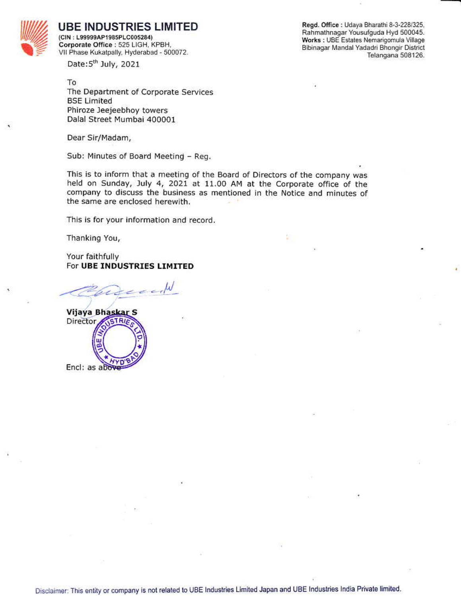

**UBE INDUSTRIES LIMITED** 

(CIN: L99999AP1985PLC005284) Corporate Office : 525 LIGH, KPBH, VII Phase Kukatpally, Hyderabad - 500072. Regd. Office : Udaya Bharathi 8-3-228/325, Rahmathnagar Yousufguda Hyd 500045. Works : UBE Estates Nemarigomula Village Bibinagar Mandal Yadadri Bhongir District Telangana 508126.

Date:5<sup>th</sup> July, 2021

To The Department of Corporate Services **BSE Limited** Phiroze Jeejeebhoy towers Dalal Street Mumbai 400001

Dear Sir/Madam,

Sub: Minutes of Board Meeting - Reg.

This is to inform that a meeting of the Board of Directors of the company was held on Sunday, July 4, 2021 at 11.00 AM at the Corporate office of the company to discuss the business as mentioned in the Notice and minutes of the same are enclosed herewith.

This is for your information and record.

Thanking You,

Your faithfully For UBE INDUSTRIES LIMITED



Disclaimer: This entity or company is not related to UBE Industries Limited Japan and UBE Industries India Private limited.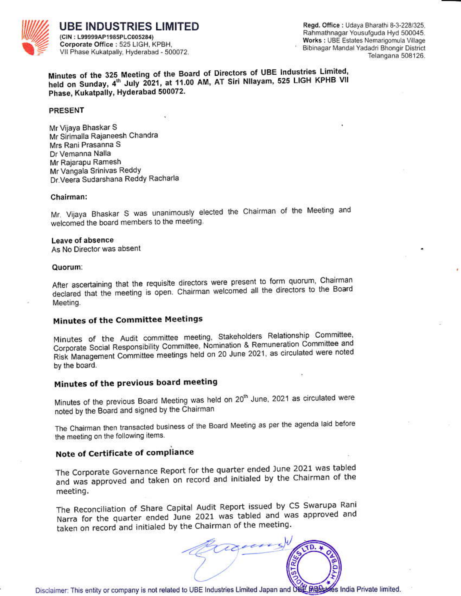

UBE INDUSTRIES LIMITED (CIN: L99999AP1985PLC005284) Corporate Office : 525 LIGH, KPBH, VII Phase Kukatpally, Hyderabad - 500072.

Regd. Office: Udaya Bharathi 8-3-228/325. Rahmathnagar Yousufguda Hyd 500045. Works : UBE Estates Nemarigomula Village Bibinagar Mandal Yadadri Bhongir District Telangana 508126.

Minutes of the 325 Meeting of the Board of Directors of UBE Industries Limited, held on Sunday, 4th July 2021, at 11.00 AM, AT Siri Nilayam, 525 LIGH KPHB VII Phase, Kukatpally, Hyderabad 500072.

#### **PRESENT**

Mr Vijaya Bhaskar S Mr Sirimalla Rajaneesh Chandra Mrs Rani Prasanna S Dr Vemanna Nalla Mr Rajarapu Ramesh Mr Vangala Srinivas Reddy Dr. Veera Sudarshana Reddy Racharla

#### Chairman:

Mr. Vijaya Bhaskar S was unanimously elected the Chairman of the Meeting and welcomed the board members to the meeting.

#### Leave of absence

As No Director was absent

#### Quorum:

After ascertaining that the requisite directors were present to form quorum, Chairman declared that the meeting is open. Chairman welcomed all the directors to the Board Meeting.

## **Minutes of the Committee Meetings**

Minutes of the Audit committee meeting, Stakeholders Relationship Committee, Corporate Social Responsibility Committee, Nomination & Remuneration Committee and Risk Management Committee meetings held on 20 June 2021, as circulated were noted by the board.

## Minutes of the previous board meeting

Minutes of the previous Board Meeting was held on 20<sup>th</sup> June, 2021 as circulated were noted by the Board and signed by the Chairman

The Chairman then transacted business of the Board Meeting as per the agenda laid before the meeting on the following items.

## Note of Certificate of compliance

The Corporate Governance Report for the quarter ended June 2021 was tabled and was approved and taken on record and initialed by the Chairman of the meeting.

The Reconciliation of Share Capital Audit Report issued by CS Swarupa Rani Narra for the quarter ended June 2021 was tabled and was approved and taken on record and initialed by the Chairman of the meeting.



Disclaimer: This entity or company is not related to UBE Industries Limited Japan and UBE PIBBLICS India Private limited.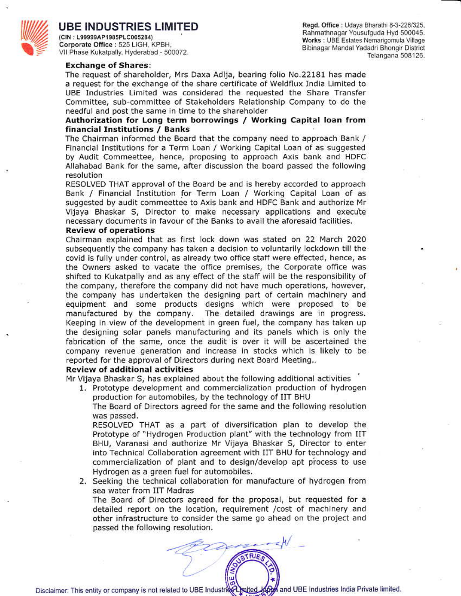

## UBE INDUSTRIES LIMITED

(CIN: L99999AP1985PLC005284) Corporate Office: 525 LIGH, KPBH, VII Phase Kukatpally, Hyderabad - 500072.

Regd. Office: Udaya Bharathi 8-3-228/325, Rahmathnagar Yousufguda Hyd 500045. Works : UBE Estates Nemarigomula Village Bibinagar Mandal Yadadri Bhongir District Telangana 508126.

#### **Exchange of Shares:**

The request of shareholder, Mrs Daxa Adlja, bearing folio No.22181 has made a request for the exchange of the share certificate of Weldflux India Limited to UBE Industries Limited was considered the requested the Share Transfer Committee, sub-committee of Stakeholders Relationship Company to do the needful and post the same in time to the shareholder

### Authorization for Long term borrowings / Working Capital loan from financial Institutions / Banks

The Chairman informed the Board that the company need to approach Bank / Financial Institutions for a Term Loan / Working Capital Loan of as suggested by Audit Commeettee, hence, proposing to approach Axis bank and HDFC Allahabad Bank for the same, after discussion the board passed the following resolution

RESOLVED THAT approval of the Board be and is hereby accorded to approach Bank / Financial Institution for Term Loan / Working Capital Loan of as suggested by audit commeettee to Axis bank and HDFC Bank and authorize Mr Vijaya Bhaskar S, Director to make necessary applications and execute necessary documents in favour of the Banks to avail the aforesaid facilities.

#### **Review of operations**

Chairman explained that as first lock down was stated on 22 March 2020 subsequently the company has taken a decision to voluntarily lockdown till the covid is fully under control, as already two office staff were effected, hence, as the Owners asked to vacate the office premises, the Corporate office was shifted to Kukatpally and as any effect of the staff will be the responsibility of the company, therefore the company did not have much operations, however, the company has undertaken the designing part of certain machinery and equipment and some products designs which were proposed to be manufactured by the company. The detailed drawings are in progress. Keeping in view of the development in green fuel, the company has taken up the designing solar panels manufacturing and its panels which is only the fabrication of the same, once the audit is over it will be ascertained the company revenue generation and increase in stocks which is likely to be reported for the approval of Directors during next Board Meeting..

#### **Review of additional activities**

Mr Vijaya Bhaskar S, has explained about the following additional activities

1. Prototype development and commercialization production of hydrogen production for automobiles, by the technology of IIT BHU

The Board of Directors agreed for the same and the following resolution was passed.

RESOLVED THAT as a part of diversification plan to develop the Prototype of "Hydrogen Production plant" with the technology from IIT BHU, Varanasi and authorize Mr Vijaya Bhaskar S, Director to enter into Technical Collaboration agreement with IIT BHU for technology and commercialization of plant and to design/develop apt process to use Hydrogen as a green fuel for automobiles.

2. Seeking the technical collaboration for manufacture of hydrogen from sea water from IIT Madras

The Board of Directors agreed for the proposal, but requested for a detailed report on the location, requirement /cost of machinery and other infrastructure to consider the same go ahead on the project and passed the following resolution.

**ATRIES**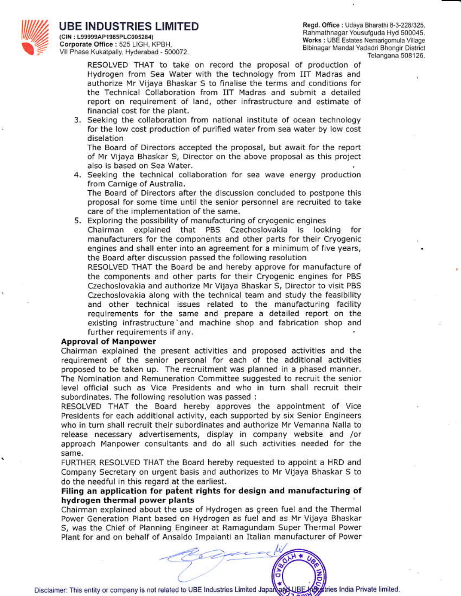

### IBE INDUSTRIES LIMITED (CIN: L99999AP1985PLC005284)

Corporate Office : 525 LIGH, KPBH. VII Phase Kukatpaily, Hyderabad - 500072. Regd. Office: Udaya Bharathi 8-3-228/325, Rahmathnagar Yousufguda Hyd 500045. Works : UBE Estates Nemarigomula Village Bibinagar Mandal Yadadri Bhongir District Telangana 508126.

RESOLVED THAT to take on record the proposal of production of Hydrogen from Sea Water with the technology from IIT Madras and authorize Mr Vijaya Bhaskar S to finalise the terms and conditions for the Technical Collaboration from IIT Madras and submit a detailed report on requirement of land, other infrastructure and estimate of financial cost for the plant.

3. Seeking the collaboration from national institute of ocean technology for the low cost production of purified water from sea water by low cost diselation

The Board of Directors accepted the proposal, but await for the report of Mr Vijaya Bhaskar S, Director on the above proposal as this project also is based on Sea Water.

4. Seeking the technical collaboration for sea wave energy production from Carnige of Australia.

The Board of Directors after the discussion concluded to postpone this proposal for some time until the senior personnel are recruited to take care of the implementation of the same.

5. Exploring the possibility of manufacturing of cryogenic engines

Chairman explained that PBS Czechoslovakia is looking for manufacturers for the components and other parts for their Cryogenic engines and shall enter into an agreement for a minimum of five years, the Board after discussion passed the following resolution

RESOLVED THAT the Board be and hereby approve for manufacture of the components and other parts for their Cryogenic engines for PBS Czechoslovakia and authorize Mr Vijaya Bhaskar S, Director to visit PBS Czechoslovakia along with the technical team and study the feasibility and other technical issues related to the manufacturing facility requirements for the same and prepare a detailed report on the existing infrastructure and machine shop and fabrication shop and further requirements if any.

#### **Approval of Manpower**

Chairman explained the present activities and proposed activities and the requirement of the senior personal for each of the additional activities proposed to be taken up. The recruitment was planned in a phased manner. The Nomination and Remuneration Committee suggested to recruit the senior level official such as Vice Presidents and who in turn shall recruit their subordinates. The following resolution was passed :

RESOLVED THAT the Board hereby approves the appointment of Vice Presidents for each additional activity, each supported by six Senior Engineers who in turn shall recruit their subordinates and authorize Mr Vemanna Nalla to release necessary advertisements, display in company website and /or approach Manpower consultants and do all such activities needed for the same.

FURTHER RESOLVED THAT the Board hereby requested to appoint a HRD and Company Secretary on urgent basis and authorizes to Mr Vijaya Bhaskar S to do the needful in this regard at the earliest.

### Filing an application for patent rights for design and manufacturing of hydrogen thermal power plants

Chairman explained about the use of Hydrogen as green fuel and the Thermal Power Generation Plant based on Hydrogen as fuel and as Mr Vijaya Bhaskar S, was the Chief of Planning Engineer at Ramagundam Super Thermal Power Plant for and on behalf of Ansaldo Impaianti an Italian manufacturer of Power



tries India Private limited. Disclaimer: This entity or company is not related to UBE Industries Limited Japan and